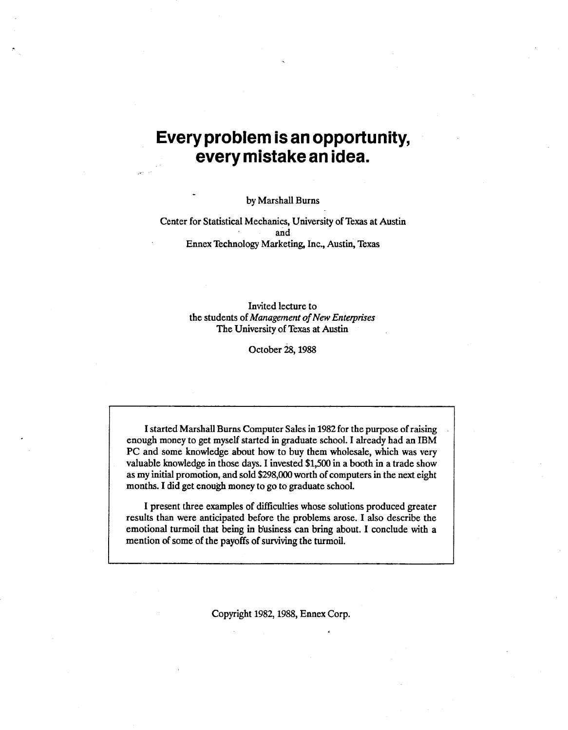# **Every problem is an opportunity, every mistake an idea.**

by Marshall Burns

Center for Statistical Mechanics, University of Texas at Austin and Ennex Technology Marketing, Inc., Austin, Texas

> Invited lecture to the students of *Management of New Enterprises*  The University of Texas at Austin

> > October 28, 1988

I started Marshall Burns Computer Sales in 1982 for the purpose of raising enough money to get myself started in graduate school. I already had an IBM PC and some knowledge about how to buy them wholesale, which was very valuable knowledge in those days. I invested \$1,500 in a booth in a trade show as my initial promotion, and sold \$298,000 worth of computers in the next eight months. I did get enough money to go to graduate school.

I present three examples of difficulties whose solutions produced greater results than were anticipated before the problems arose. I also describe the emotional turmoil that being in b'usiness can bring about. I conclude with a mention of some of the payoffs of surviving the turmoil.

Copyright 1982, 1988, Ennex Corp.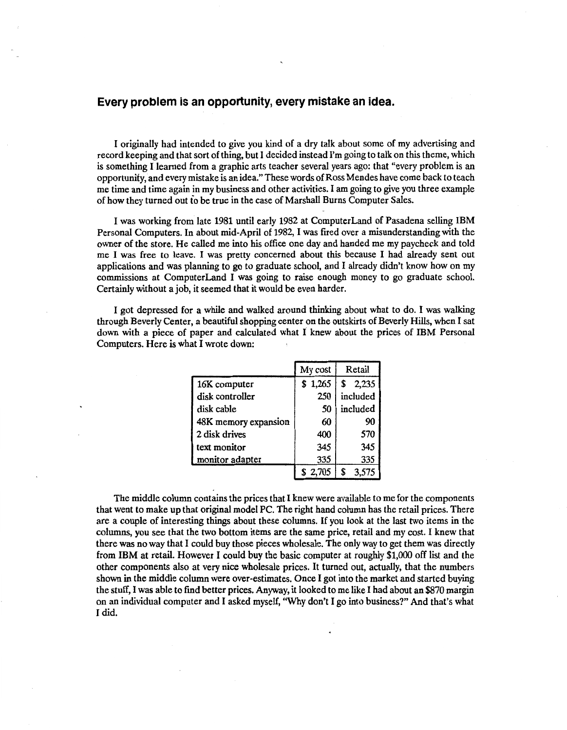### **Every problem is an opportunity, every mistake an idea.**

I originally had intended to give you kind of a dry talk about some of my advertising and record keeping and that sort of thing, but I decided instead I'm going to talk on this theme, which is something I learned from a graphic arts teacher several years ago: that "every problem is an opportunity, and every mistake is an idea." These words of Ross Mendes have come back to teach me time and time again in my business and other activities. I am going to give you three example of how they turned out to be true in the case of Marshall Burns Computer Sales.

I was working from late 1981 until early 1982 at Computer Land of Pasadena selling IBM Personal Computers. In about mid-April of 1982, I was fired over a misunderstanding with the owner of the store. He called me into his office one day and handed me my paycheck and told me I was free to leave. I was pretty concerned about this because I had already sent out applications and was planning to go to graduate school, and I already didn't know how on my commissions at ComputerLand I was going to raise enough money to go graduate school. Certainly without a job, it seemed that it would be even harder.

I got depressed for a while and walked around thinking about what to do. I was walking through Beverly Center, a beautiful shopping center on the outskirts of Beverly Hills, when I sat down with a piece of paper and calculated what I knew about the prices of IBM Personal Computers. Here is what I wrote down:

|                      | My cost | Retail      |  |
|----------------------|---------|-------------|--|
| 16K computer         | \$1,265 | 2,235<br>\$ |  |
| disk controller      | 250     | included    |  |
| disk cable           | 50      | included    |  |
| 48K memory expansion | 60      | 90          |  |
| 2 disk drives        | 400     | 570         |  |
| text monitor         | 345     | 345         |  |
| monitor adapter      | 335     | 335         |  |
|                      |         |             |  |

The middle column contains the prices that I knew were available to me for the components that went to make up that original model PC. The right hand column has the retail prices. There are a couple of interesting things about these columns. If you look at the last two items in the columns, you see that the two bottom items are the same price, retail and my cost. I knew that there was no way that I could buy those pieces wholesale. The only way to get them was directly from IBM at retail. However I could buy the basic computer at roughly \$1,000 off list and the other components also at very nice wholesale prices. It turned out, actually, that the numbers shown in the middle column were over-estimates. Once I got into the market and started buying the stuff, I was able to fmd better prices. Anyway, it looked to me like I had about an \$870 margin on an individual computer and I asked myself, "Why don't I go into business?" And that's what I did.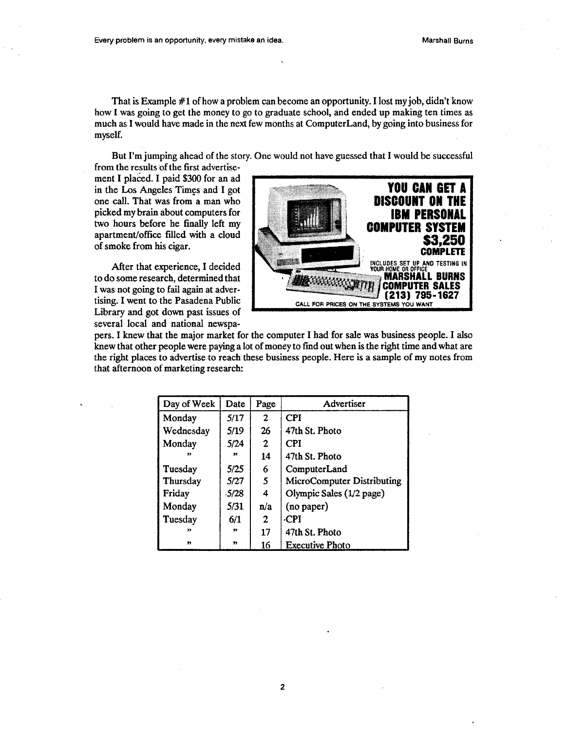That is Example #1 of how a problem can become an opportunity. I lost my job, didn't know how I was going to get the money to go to graduate school, and ended up making ten times as much as I would have made in the next few months at Computer Land, by going into business for myself.

But I'm jumping ahead of the story. One would not have guessed that I would be successful

from the results of the first advertisement I placed. I paid \$300 for an ad in the Los Angeles Times and I got one call. That was from a man who picked my brain about computers for two hours before he finally left my apartment/office filled with a cloud of smoke from his cigar.

After that experience, I decided to do some research, determined that I was not going to fail again at advertising. I went to the Pasadena Public Library and got down past issues of several local and national newspa-



pers. I knew that the major market for the computer I had for sale was business people. I also knew that other people were paying a lot of money to find out when is the right time and what are the right places to advertise to reach these business people. Here is a sample of my notes from that afternoon of marketing research:

| Day of Week | Date             | Page           | Advertiser                 |
|-------------|------------------|----------------|----------------------------|
| Monday      | 5/17             | $\overline{2}$ | <b>CPI</b>                 |
| Wednesday   | 5/19             | 26             | 47th St. Photo             |
| Monday      | 5/24             | $\mathbf{2}$   | CPI                        |
| 99          | $\boldsymbol{v}$ | 14             | 47th St. Photo             |
| Tuesday     | 5/25             | 6              | ComputerLand               |
| Thursday    | 5/27             | 5              | MicroComputer Distributing |
| Friday      | $-5/28$          | 4              | Olympic Sales (1/2 page)   |
| Monday      | 5/31             | n/a            | (no paper)                 |
| Tuesday     | 6/1              | $\mathbf{2}$   | -CPI                       |
| $\bullet$   | $\mathbf{r}$     | 17             | 47th St. Photo             |
| $\bullet$   | $\bullet$        | 16             | <b>Executive Photo</b>     |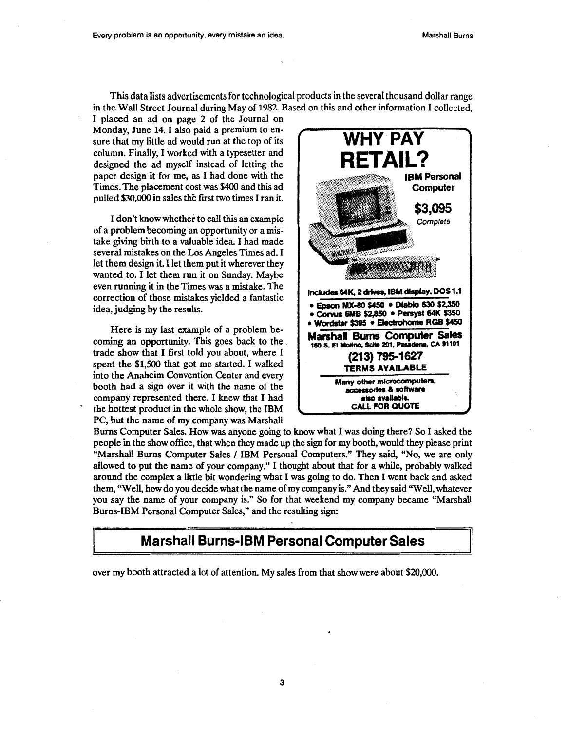This data lists advertisements for technological products in the several thousand dollar range in the Wall Street Journal during May of 1982. Based on this and other information I collected,

I placed an ad on page 2 of the Journal on Monday, June 14. I also paid a premium to ensure that my little ad would run at the top of its column. Finally, I worked with a typesetter and designed the ad myself instead of letting the paper design it for me, as I had done with the Times. The placement cost was \$400 and this ad pulled \$30,000 in sales the first two times I ran it.

I don't know whether to call this an example of a problem becoming an opportunity or a mistake giving birth to a valuable idea. I had made several mistakes on the Los Angeles Times ad. I let them design it. I let them put it wherever they wanted to. I let them run it on Sunday. Maybe even running it in the Times was a mistake. The correction of those mistakes yielded a fantastic idea, judging by the results.

Here is my last example of a problem becoming an opportunity. This goes back to the . trade show that I first told you about, where I spent the \$1,500 that got me started. I walked into the Anaheim Convention Center and every booth had a sign over it with the name of the company represented there. I knew that I had the hottest product in the whole show, the IBM PC, but the name of my company was Marshall



Burns Computer Sales. How was anyone going to know what I was doing there? So I asked the people in the show office, that when they made up the sign for my booth, would they please print "Marshall Burns Computer Sales / IBM Personal Computers." They said, "No, we are only allowed to put the name of your company." I thought about that for a while, probably walked around the complex a little bit wondering what I was going to do. Then I went back and asked them, "Well, how do you decide wh\_at the name of my company is." And they said "Well, whatever you say the name of your company is." So for that weekend my company became "Marshall Burns-IBM Personal Computer Sales," and the resulting sign:

## Marshall Burns-IBM Personal Computer Sales

over my booth attracted a lot of attention. My sales from that show were about \$20,000.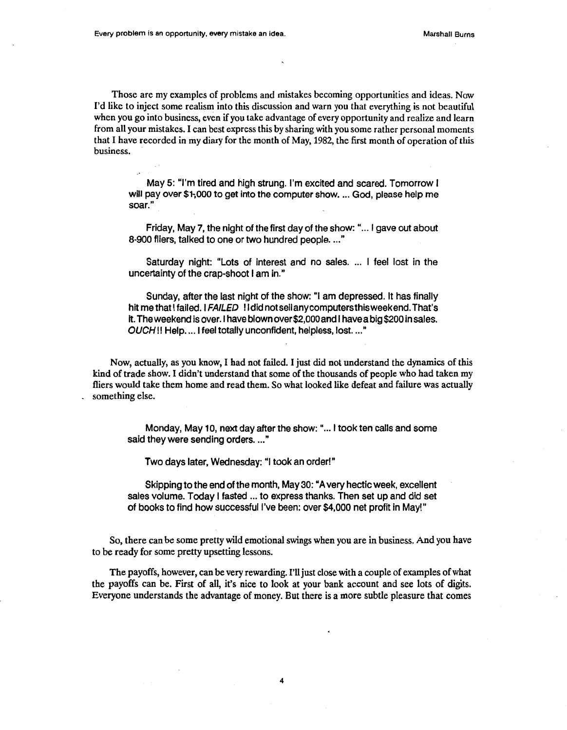Those are my examples of problems and mistakes becoming opportunities and ideas. Now I'd like to inject some realism into this discussion and warn you that everything is not beautiful when you go into business, even if you take advantage of every opportunity and realize and learn from all your mistakes. I can best express this by sharing with you some rather personal moments that I have recorded in my diary for the month of May, 1982, the first month of operation of this business.

May 5: "I'm tired and high strung. I'm excited and scared. Tomorrow I will pay over \$1,000 to get into the computer show. ... God, please help me soar."

Friday, May 7, the night of the first day of the show: " ... I gave out about 8-900 fliers, talked to one or two hundred people...."

Saturday night: "Lots of interest and no sales. ... I feel lost in the uncertainty of the crap-shoot I am in."

Sunday, after the last night of the show: "I am depressed. It has finally hit me that I failed. I FAILED ! I did not sell any computers this weekend. That's it. The weekend is over.l have blown over \$2,000 and I have a big \$200 in sales. OUCH!! Help. ... I feel totally unconfident, helpless, lost. ..."

Now, actually, as you know, I had not failed. I just did not understand the dynamics of this kind of trade show. I didn't understand that some of the thousands of people who had taken my fliers would take them home and read them. So what looked like defeat and failure was actually something else.

Monday, May 10, next day after the show: " ... I took ten calls and some said they were sending orders. ..."

Two days later, Wednesday: "I took an order!"

Skipping to the end of the month, May 30: "A very hectic week, excellent sales volume. Today I fasted ... to express thanks. Then set up and did set of books to find how successful I've been: over \$4,000 net profit in May!"

So, there can be some pretty wild emotional swings when you are in business. And you have to be ready for some pretty upsetting lessons.

The payoffs, however, can be very rewarding. I'll just close with a couple of examples of what the payoffs can be. First of all, it's nice to look at your bank account and see lots of digits. Everyone understands the advantage of money. But there is a more subtle pleasure that comes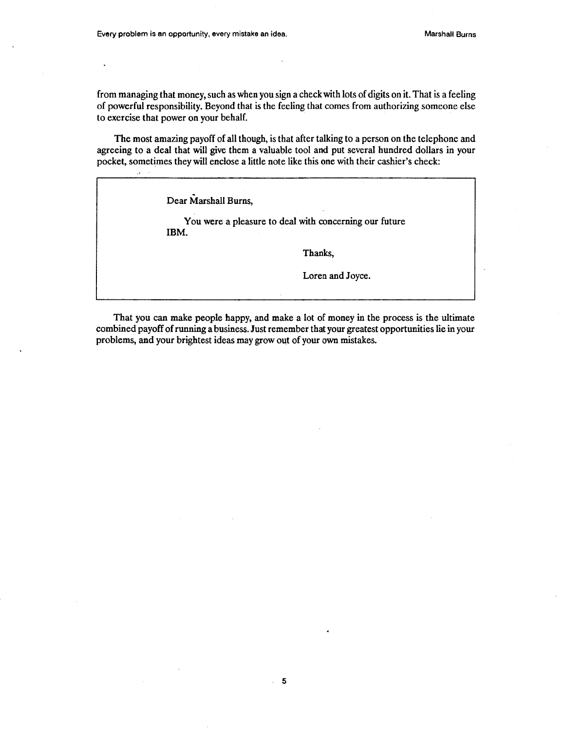from managing that money, such as when you sign a check with lots of digits on it. That is a feeling of powerful responsibility. Beyond that is the feeling that comes from authorizing someone else to exercise that power on your behalf.

The most amazing payoff of all though, is that after talking to a person on the telephone and agreeing to a deal that will give them a valuable tool and put several hundred dollars in your pocket, sometimes they will enclose a little note like this one with their cashier's check:

Dear Marshall Burns,

j.

You were a pleasure to deal with concerning our future IBM.

Thanks,

Loren and Joyce.

That you can make people happy, and make a lot of money in the process is the ultimate combined payoff of running a business. Just remember that your greatest opportunities lie in your problems, and your brightest ideas may grow out of your own mistakes.

 $\mathbb{R}^2$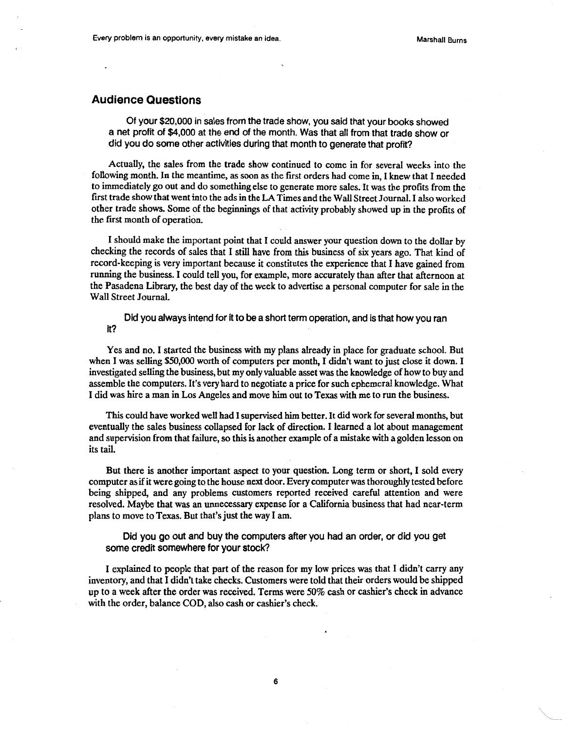### **Audience Questions**

Of your \$20,000 in sales from the trade show, you said that your books showed a net profit of \$4,000 at the end of the month. Was that all from that trade show or did you do some other activities during that month to generate that profit?

Actually, the sales from the trade show continued to come in for several weeks into the following month. In the meantime, as soon as the first orders had come in, I knew that I needed to immediately go out and do something else to generate more sales. It was the profits from the first trade showthatwentinto the ads in the LA Times and the Wall Street Journal. I also worked other trade shows. Some of the beginnings of that activity probably showed up in the profits of the first month of operation.

I should make the important point that I could answer your question down to the dollar by checking the records of sales that I still have from this business of six years ago. That kind of record-keeping is very important because it constitutes the experience that I have gained from running the business. I could tell you, for example, more accurately than after that afternoon at the Pasadena Library, the best day of the week to advertise a personal computer for sale in the Wall Street Journal.

Did you always intend for it to be a short term operation, and is that how you ran it?

Yes and no. I started the business with my plans already in place for graduate school. But when I was selling *\$50,000* worth of computers per month, I didn't want to just close it down. I investigated selling the business, but my only valuable asset was the knowledge of how to buy and assemble the computers. It's very hard to negotiate a price for such ephemeral knowledge. What I did was hire a man in Los Angeles and move him out to Texas with me to run the business.

This could have worked well had I supervised him better. It did work for several months, but eventually the sales business collapsed for lack of direction. I learned a lot about management and supervision from that failure, so this is another example of a mistake with a golden lesson on its tail.

But there is another important aspect to your question. Long term or short, I sold every computer as if it were going to the house next door. Every computer was thoroughly tested before being shipped, and any problems customers reported received careful attention and were resolved. Maybe that was an unnecessary expense for a California business that had near-term plans to move to Texas. But that's just the way I am.

Did you go out and buy the computers after you had an order, or did you get some credit somewhere for your stock?

I explained to people that part of the reason for my low prices was that I didn't carry any inventory, and that I didn't take checks. Customers were told that their orders would be shipped up to a week after the order was received. Terms were 50% cash or cashier's check in advance with the order, balance COD, also cash or cashier's check.